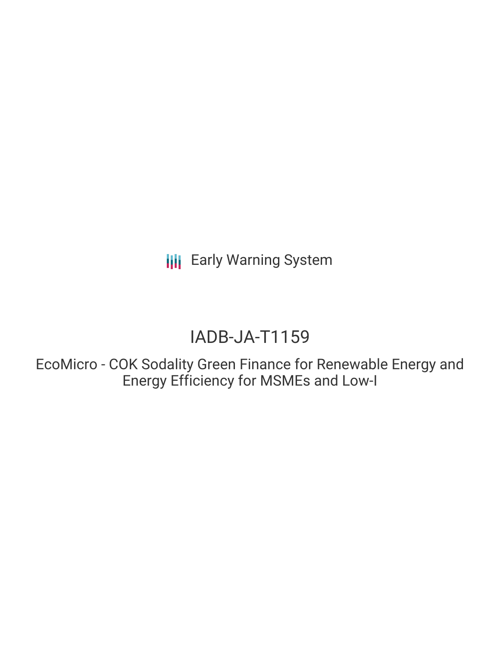# IADB-JA-T1159

EcoMicro - COK Sodality Green Finance for Renewable Energy and Energy Efficiency for MSMEs and Low-I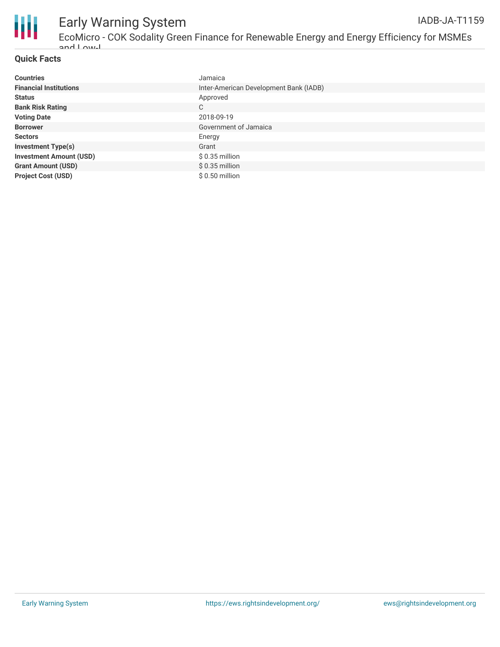

#### **Quick Facts**

| <b>Countries</b>               | Jamaica                                |
|--------------------------------|----------------------------------------|
| <b>Financial Institutions</b>  | Inter-American Development Bank (IADB) |
| <b>Status</b>                  | Approved                               |
| <b>Bank Risk Rating</b>        | C                                      |
| <b>Voting Date</b>             | 2018-09-19                             |
| <b>Borrower</b>                | Government of Jamaica                  |
| <b>Sectors</b>                 | Energy                                 |
| <b>Investment Type(s)</b>      | Grant                                  |
| <b>Investment Amount (USD)</b> | $$0.35$ million                        |
| <b>Grant Amount (USD)</b>      | $$0.35$ million                        |
| <b>Project Cost (USD)</b>      | $$0.50$ million                        |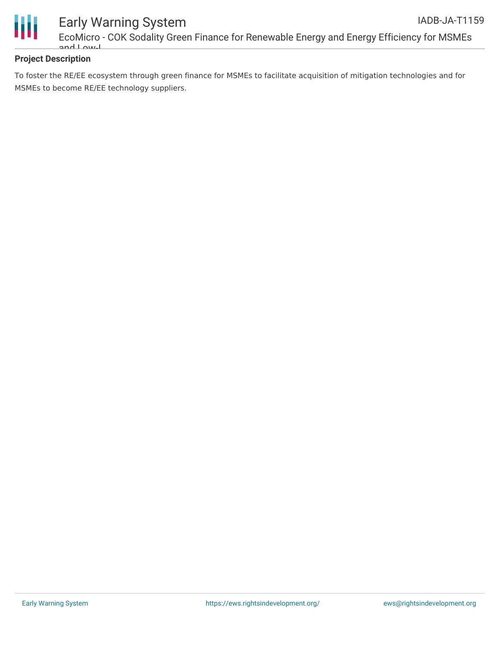

EcoMicro - COK Sodality Green Finance for Renewable Energy and Energy Efficiency for MSMEs and Low-I

#### **Project Description**

To foster the RE/EE ecosystem through green finance for MSMEs to facilitate acquisition of mitigation technologies and for MSMEs to become RE/EE technology suppliers.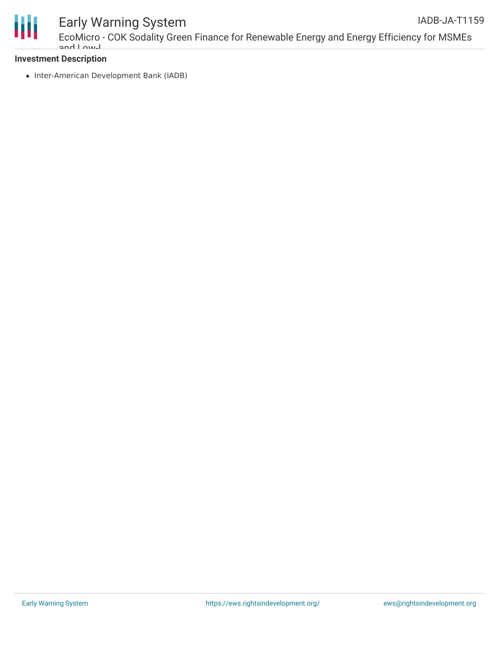

#### **Investment Description**

• Inter-American Development Bank (IADB)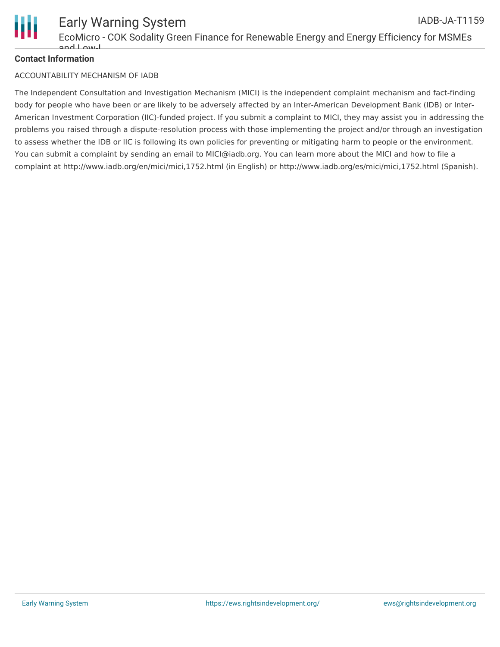

### **Contact Information**

### ACCOUNTABILITY MECHANISM OF IADB

The Independent Consultation and Investigation Mechanism (MICI) is the independent complaint mechanism and fact-finding body for people who have been or are likely to be adversely affected by an Inter-American Development Bank (IDB) or Inter-American Investment Corporation (IIC)-funded project. If you submit a complaint to MICI, they may assist you in addressing the problems you raised through a dispute-resolution process with those implementing the project and/or through an investigation to assess whether the IDB or IIC is following its own policies for preventing or mitigating harm to people or the environment. You can submit a complaint by sending an email to MICI@iadb.org. You can learn more about the MICI and how to file a complaint at http://www.iadb.org/en/mici/mici,1752.html (in English) or http://www.iadb.org/es/mici/mici,1752.html (Spanish).